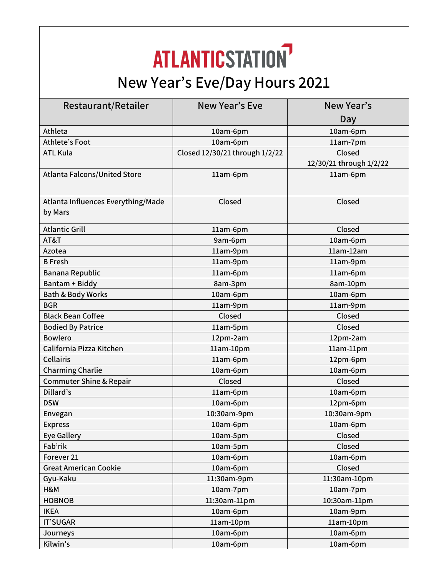## **ATLANTICSTATION New Year's Eve/Day Hours 2021**

| Restaurant/Retailer                           | New Year's Eve                 | New Year's              |
|-----------------------------------------------|--------------------------------|-------------------------|
|                                               |                                | Day                     |
| Athleta                                       | 10am-6pm                       | 10am-6pm                |
| <b>Athlete's Foot</b>                         | 10am-6pm                       | 11am-7pm                |
| <b>ATL Kula</b>                               | Closed 12/30/21 through 1/2/22 | Closed                  |
|                                               |                                | 12/30/21 through 1/2/22 |
| <b>Atlanta Falcons/United Store</b>           | 11am-6pm                       | 11am-6pm                |
| Atlanta Influences Everything/Made<br>by Mars | Closed                         | Closed                  |
| <b>Atlantic Grill</b>                         | 11am-6pm                       | Closed                  |
| AT&T                                          | 9am-6pm                        | 10am-6pm                |
| Azotea                                        | 11am-9pm                       | $11am-12am$             |
| <b>B</b> Fresh                                | 11am-9pm                       | 11am-9pm                |
| <b>Banana Republic</b>                        | 11am-6pm                       | 11am-6pm                |
| <b>Bantam + Biddy</b>                         | 8am-3pm                        | 8am-10pm                |
| <b>Bath &amp; Body Works</b>                  | 10am-6pm                       | 10am-6pm                |
| <b>BGR</b>                                    | 11am-9pm                       | 11am-9pm                |
| <b>Black Bean Coffee</b>                      | Closed                         | Closed                  |
| <b>Bodied By Patrice</b>                      | 11am-5pm                       | Closed                  |
| <b>Bowlero</b>                                | 12pm-2am                       | 12pm-2am                |
| California Pizza Kitchen                      | 11am-10pm                      | $11am-11pm$             |
| <b>Cellairis</b>                              | 11am-6pm                       | 12pm-6pm                |
| <b>Charming Charlie</b>                       | 10am-6pm                       | 10am-6pm                |
| <b>Commuter Shine &amp; Repair</b>            | Closed                         | Closed                  |
| Dillard's                                     | 11am-6pm                       | 10am-6pm                |
| <b>DSW</b>                                    | 10am-6pm                       | 12pm-6pm                |
| Envegan                                       | 10:30am-9pm                    | 10:30am-9pm             |
| <b>Express</b>                                | 10am-6pm                       | 10am-6pm                |
| <b>Eye Gallery</b>                            | 10am-5pm                       | Closed                  |
| Fab'rik                                       | 10am-5pm                       | Closed                  |
| Forever 21                                    | 10am-6pm                       | 10am-6pm                |
| <b>Great American Cookie</b>                  | 10am-6pm                       | Closed                  |
| Gyu-Kaku                                      | 11:30am-9pm                    | 11:30am-10pm            |
| H&M                                           | 10am-7pm                       | 10am-7pm                |
| <b>HOBNOB</b>                                 | 11:30am-11pm                   | 10:30am-11pm            |
| <b>IKEA</b>                                   | 10am-6pm                       | 10am-9pm                |
| <b>IT'SUGAR</b>                               | 11am-10pm                      | $11am-10pm$             |
| Journeys                                      | 10am-6pm                       | 10am-6pm                |
| Kilwin's                                      | 10am-6pm                       | 10am-6pm                |